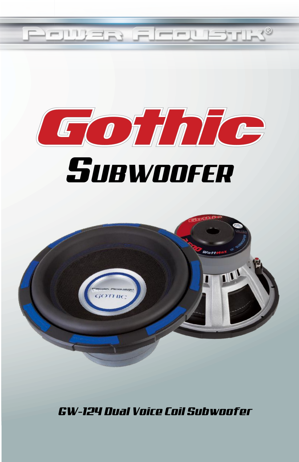



# **SUBWOOFER**



GW-124 Dual Voice Coil Subwoofer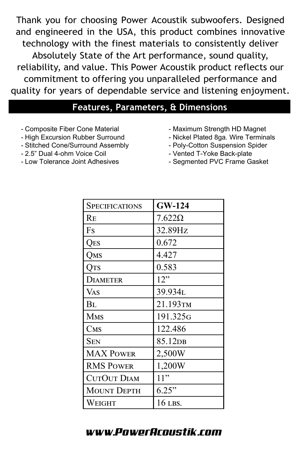Thank you for choosing Power Acoustik subwoofers. Designed and engineered in the USA, this product combines innovative technology with the finest materials to consistently deliver Absolutely State of the Art performance, sound quality, reliability, and value. This Power Acoustik product reflects our commitment to offering you unparalleled performance and quality for years of dependable service and listening enjoyment.

#### **Features, Parameters, & Dimensions**

- *-* Composite Fiber Cone Material
- *-* High Excursion Rubber Surround
- *-* Stitched Cone/Surround Assembly
- *-* 2.5" Dual 4-ohm Voice Coil
- *-* Low Tolerance Joint Adhesives
- Maximum Strength HD Magnet
- Nickel Plated 8ga. Wire Terminals
- Poly-Cotton Suspension Spider
- Vented T-Yoke Back-plate
- Segmented PVC Frame Gasket

| <b>SPECIFICATIONS</b> | <b>GW-124</b>       |
|-----------------------|---------------------|
| Re                    | $7.622\Omega$       |
| Fs                    | 32.89Hz             |
| Qes                   | 0.672               |
| Qms                   | 4.427               |
| Ots                   | 0.583               |
| <b>DIAMETER</b>       | 12"                 |
| Vas                   | 39.934L             |
| Bl                    | 21.193тм            |
| <b>MMS</b>            | 191.325G            |
| CMS                   | 122.486             |
| Sen                   | 85.12 <sub>DB</sub> |
| <b>MAX POWER</b>      | 2,500W              |
| <b>RMS POWER</b>      | 1,200W              |
| <b>CUTOUT DIAM</b>    | 11"                 |
| <b>MOUNT DEPTH</b>    | 6.25"               |
| Weight                | 16 LBS.             |

## www.PowerAcoustik.com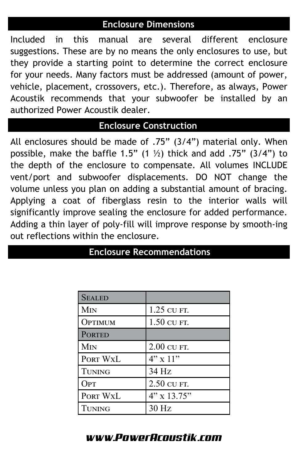#### **Enclosure Dimensions**

Included in this manual are several different enclosure suggestions. These are by no means the only enclosures to use, but they provide a starting point to determine the correct enclosure for your needs. Many factors must be addressed (amount of power, vehicle, placement, crossovers, etc.). Therefore, as always, Power Acoustik recommends that your subwoofer be installed by an authorized Power Acoustik dealer.

### **Enclosure Construction**

All enclosures should be made of .75" (3/4") material only. When possible, make the baffle 1.5" (1  $\frac{1}{2}$ ) thick and add .75" (3/4") to the depth of the enclosure to compensate. All volumes INCLUDE vent/port and subwoofer displacements. DO NOT change the volume unless you plan on adding a substantial amount of bracing. Applying a coat of fiberglass resin to the interior walls will significantly improve sealing the enclosure for added performance. Adding a thin layer of poly-fill will improve response by smooth-ing out reflections within the enclosure.

| <b>SEALED</b>   |                 |
|-----------------|-----------------|
| M <sub>IN</sub> | 1.25 CU FT.     |
| OPTIMUM         | 1.50 CU FT.     |
| <b>PORTED</b>   |                 |
| M <sub>IN</sub> | 2.00 CU FT.     |
| PORT WXL        | $4" \times 11"$ |
| <b>TUNING</b>   | 34 Hz           |
| OPT             | 2.50 CU FT.     |
| PORT WXL        | $4"$ x 13.75"   |
| Tuning          | 30 Hz           |

## **Enclosure Recommendations**

### www.PowerAcoustik.com